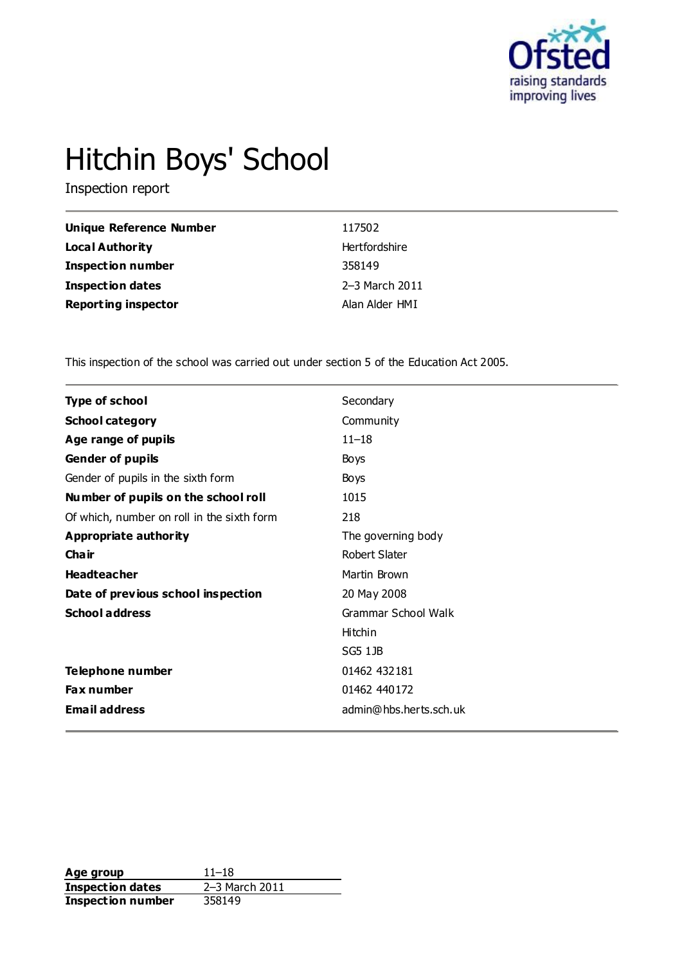

# Hitchin Boys' School

Inspection report

| <b>Unique Reference Number</b> | 117502         |
|--------------------------------|----------------|
| Local Authority                | Hertfordshire  |
| <b>Inspection number</b>       | 358149         |
| <b>Inspection dates</b>        | 2–3 March 2011 |
| <b>Reporting inspector</b>     | Alan Alder HMI |

This inspection of the school was carried out under section 5 of the Education Act 2005.

| <b>Type of school</b>                      | Secondary              |
|--------------------------------------------|------------------------|
| <b>School category</b>                     | Community              |
| Age range of pupils                        | $11 - 18$              |
| Gender of pupils                           | Boys                   |
| Gender of pupils in the sixth form         | Boys                   |
| Number of pupils on the school roll        | 1015                   |
| Of which, number on roll in the sixth form | 218                    |
| Appropriate authority                      | The governing body     |
| Cha ir                                     | Robert Slater          |
| <b>Headteacher</b>                         | Martin Brown           |
| Date of previous school inspection         | 20 May 2008            |
| <b>School address</b>                      | Grammar School Walk    |
|                                            | Hitchin                |
|                                            | SG5 1JB                |
| <b>Telephone number</b>                    | 01462 432181           |
| Fax number                                 | 01462 440172           |
| <b>Email address</b>                       | admin@hbs.herts.sch.uk |
|                                            |                        |

**Age group** 11–18<br> **Inspection dates** 2–3 March 2011 **Inspection dates Inspection number** 358149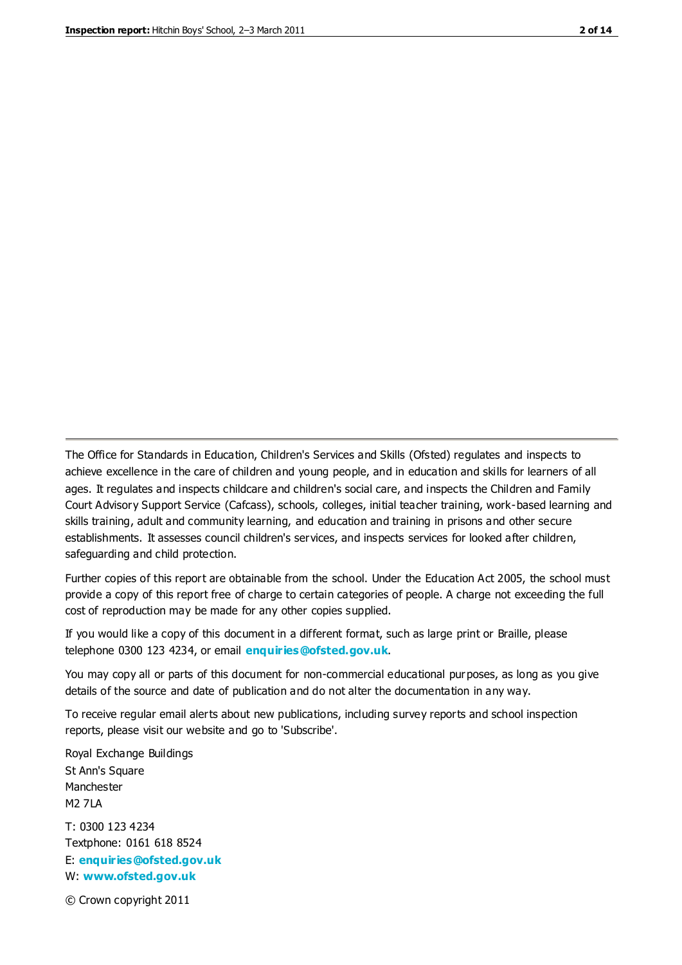The Office for Standards in Education, Children's Services and Skills (Ofsted) regulates and inspects to achieve excellence in the care of children and young people, and in education and skills for learners of all ages. It regulates and inspects childcare and children's social care, and inspects the Children and Family Court Advisory Support Service (Cafcass), schools, colleges, initial teacher training, work-based learning and skills training, adult and community learning, and education and training in prisons and other secure establishments. It assesses council children's services, and inspects services for looked after children, safeguarding and child protection.

Further copies of this report are obtainable from the school. Under the Education Act 2005, the school must provide a copy of this report free of charge to certain categories of people. A charge not exceeding the full cost of reproduction may be made for any other copies supplied.

If you would like a copy of this document in a different format, such as large print or Braille, please telephone 0300 123 4234, or email **[enquiries@ofsted.gov.uk](mailto:enquiries@ofsted.gov.uk)**.

You may copy all or parts of this document for non-commercial educational purposes, as long as you give details of the source and date of publication and do not alter the documentation in any way.

To receive regular email alerts about new publications, including survey reports and school inspection reports, please visit our website and go to 'Subscribe'.

Royal Exchange Buildings St Ann's Square Manchester M2 7LA T: 0300 123 4234 Textphone: 0161 618 8524 E: **[enquiries@ofsted.gov.uk](mailto:enquiries@ofsted.gov.uk)**

W: **[www.ofsted.gov.uk](http://www.ofsted.gov.uk/)**

© Crown copyright 2011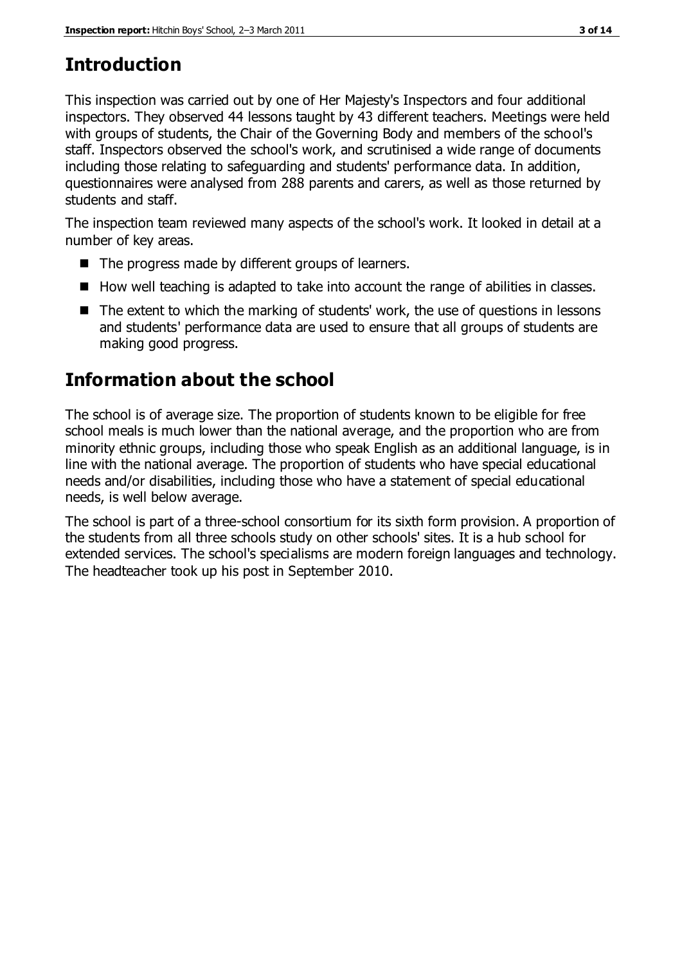# **Introduction**

This inspection was carried out by one of Her Majesty's Inspectors and four additional inspectors. They observed 44 lessons taught by 43 different teachers. Meetings were held with groups of students, the Chair of the Governing Body and members of the school's staff. Inspectors observed the school's work, and scrutinised a wide range of documents including those relating to safeguarding and students' performance data. In addition, questionnaires were analysed from 288 parents and carers, as well as those returned by students and staff.

The inspection team reviewed many aspects of the school's work. It looked in detail at a number of key areas.

- The progress made by different groups of learners.
- How well teaching is adapted to take into account the range of abilities in classes.
- The extent to which the marking of students' work, the use of questions in lessons and students' performance data are used to ensure that all groups of students are making good progress.

# **Information about the school**

The school is of average size. The proportion of students known to be eligible for free school meals is much lower than the national average, and the proportion who are from minority ethnic groups, including those who speak English as an additional language, is in line with the national average. The proportion of students who have special educational needs and/or disabilities, including those who have a statement of special educational needs, is well below average.

The school is part of a three-school consortium for its sixth form provision. A proportion of the students from all three schools study on other schools' sites. It is a hub school for extended services. The school's specialisms are modern foreign languages and technology. The headteacher took up his post in September 2010.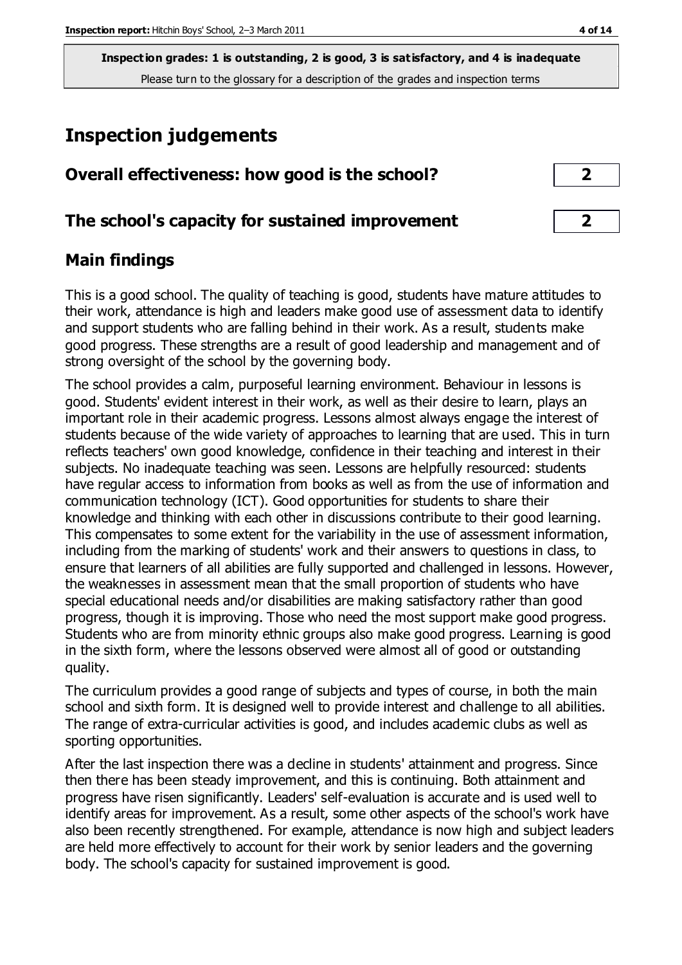**Inspection grades: 1 is outstanding, 2 is good, 3 is satisfactory, and 4 is inadequate** Please turn to the glossary for a description of the grades and inspection terms

# **Inspection judgements**

| Overall effectiveness: how good is the school? |  |
|------------------------------------------------|--|
|------------------------------------------------|--|

# **The school's capacity for sustained improvement 2**

# **Main findings**

This is a good school. The quality of teaching is good, students have mature attitudes to their work, attendance is high and leaders make good use of assessment data to identify and support students who are falling behind in their work. As a result, students make good progress. These strengths are a result of good leadership and management and of strong oversight of the school by the governing body.

The school provides a calm, purposeful learning environment. Behaviour in lessons is good. Students' evident interest in their work, as well as their desire to learn, plays an important role in their academic progress. Lessons almost always engage the interest of students because of the wide variety of approaches to learning that are used. This in turn reflects teachers' own good knowledge, confidence in their teaching and interest in their subjects. No inadequate teaching was seen. Lessons are helpfully resourced: students have regular access to information from books as well as from the use of information and communication technology (ICT). Good opportunities for students to share their knowledge and thinking with each other in discussions contribute to their good learning. This compensates to some extent for the variability in the use of assessment information, including from the marking of students' work and their answers to questions in class, to ensure that learners of all abilities are fully supported and challenged in lessons. However, the weaknesses in assessment mean that the small proportion of students who have special educational needs and/or disabilities are making satisfactory rather than good progress, though it is improving. Those who need the most support make good progress. Students who are from minority ethnic groups also make good progress. Learning is good in the sixth form, where the lessons observed were almost all of good or outstanding quality.

The curriculum provides a good range of subjects and types of course, in both the main school and sixth form. It is designed well to provide interest and challenge to all abilities. The range of extra-curricular activities is good, and includes academic clubs as well as sporting opportunities.

After the last inspection there was a decline in students' attainment and progress. Since then there has been steady improvement, and this is continuing. Both attainment and progress have risen significantly. Leaders' self-evaluation is accurate and is used well to identify areas for improvement. As a result, some other aspects of the school's work have also been recently strengthened. For example, attendance is now high and subject leaders are held more effectively to account for their work by senior leaders and the governing body. The school's capacity for sustained improvement is good.

| ◢ |  |
|---|--|
|   |  |
|   |  |
| ◚ |  |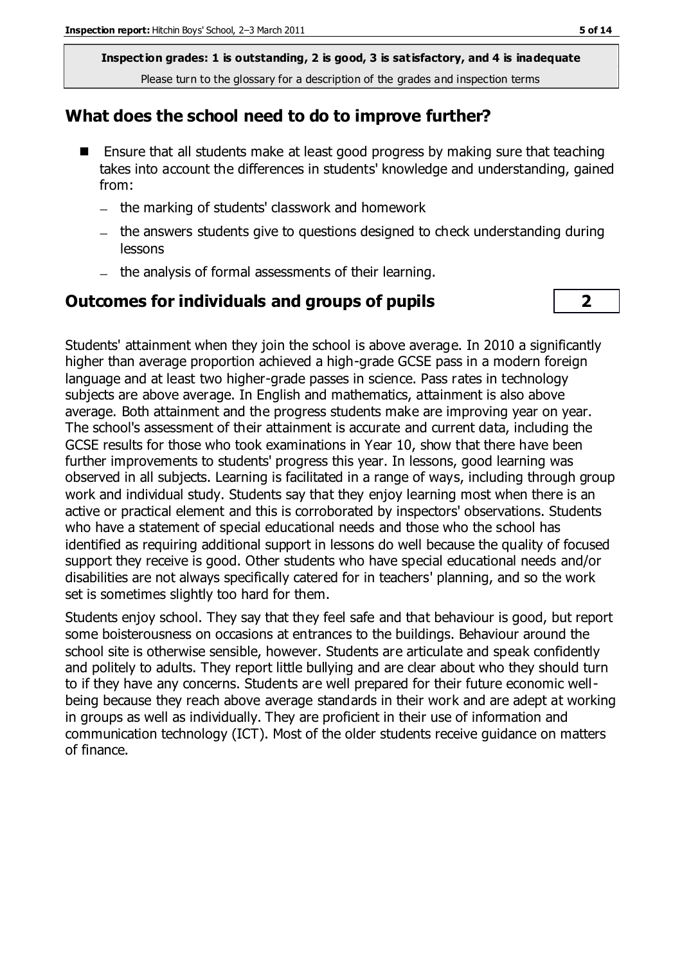**Inspection grades: 1 is outstanding, 2 is good, 3 is satisfactory, and 4 is inadequate** Please turn to the glossary for a description of the grades and inspection terms

#### **What does the school need to do to improve further?**

- Ensure that all students make at least good progress by making sure that teaching takes into account the differences in students' knowledge and understanding, gained from:
	- the marking of students' classwork and homework
	- the answers students give to questions designed to check understanding during lessons
	- the analysis of formal assessments of their learning.

#### **Outcomes for individuals and groups of pupils 2**

Students' attainment when they join the school is above average. In 2010 a significantly higher than average proportion achieved a high-grade GCSE pass in a modern foreign language and at least two higher-grade passes in science. Pass rates in technology subjects are above average. In English and mathematics, attainment is also above average. Both attainment and the progress students make are improving year on year. The school's assessment of their attainment is accurate and current data, including the GCSE results for those who took examinations in Year 10, show that there have been further improvements to students' progress this year. In lessons, good learning was observed in all subjects. Learning is facilitated in a range of ways, including through group work and individual study. Students say that they enjoy learning most when there is an active or practical element and this is corroborated by inspectors' observations. Students who have a statement of special educational needs and those who the school has identified as requiring additional support in lessons do well because the quality of focused support they receive is good. Other students who have special educational needs and/or disabilities are not always specifically catered for in teachers' planning, and so the work set is sometimes slightly too hard for them.

Students enjoy school. They say that they feel safe and that behaviour is good, but report some boisterousness on occasions at entrances to the buildings. Behaviour around the school site is otherwise sensible, however. Students are articulate and speak confidently and politely to adults. They report little bullying and are clear about who they should turn to if they have any concerns. Students are well prepared for their future economic wellbeing because they reach above average standards in their work and are adept at working in groups as well as individually. They are proficient in their use of information and communication technology (ICT). Most of the older students receive guidance on matters of finance.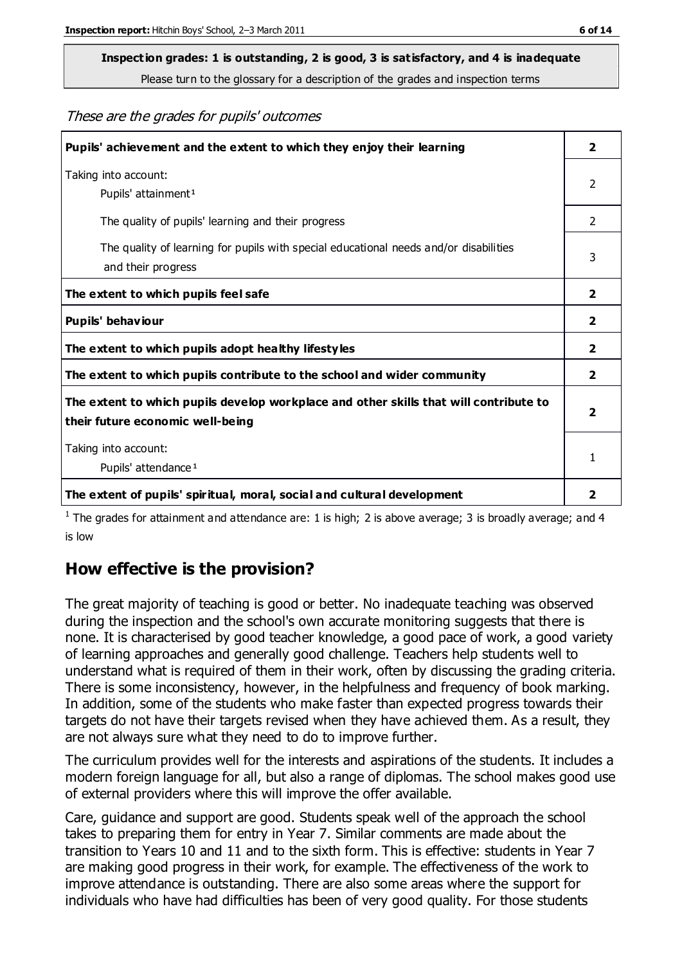# **Inspection grades: 1 is outstanding, 2 is good, 3 is satisfactory, and 4 is inadequate**

Please turn to the glossary for a description of the grades and inspection terms

These are the grades for pupils' outcomes

| Pupils' achievement and the extent to which they enjoy their learning                                                     | $\overline{2}$          |
|---------------------------------------------------------------------------------------------------------------------------|-------------------------|
| Taking into account:<br>Pupils' attainment <sup>1</sup>                                                                   | 2                       |
| The quality of pupils' learning and their progress                                                                        | $\mathcal{P}$           |
| The quality of learning for pupils with special educational needs and/or disabilities<br>and their progress               | 3                       |
| The extent to which pupils feel safe                                                                                      | $\mathbf{2}$            |
| Pupils' behaviour                                                                                                         | 2                       |
| The extent to which pupils adopt healthy lifestyles                                                                       | 2                       |
| The extent to which pupils contribute to the school and wider community                                                   | $\overline{2}$          |
| The extent to which pupils develop workplace and other skills that will contribute to<br>their future economic well-being | $\overline{\mathbf{2}}$ |
| Taking into account:                                                                                                      | 1                       |
| Pupils' attendance <sup>1</sup>                                                                                           |                         |
| The extent of pupils' spiritual, moral, social and cultural development                                                   | 2                       |

<sup>1</sup> The grades for attainment and attendance are: 1 is high; 2 is above average; 3 is broadly average; and 4 is low

# **How effective is the provision?**

The great majority of teaching is good or better. No inadequate teaching was observed during the inspection and the school's own accurate monitoring suggests that there is none. It is characterised by good teacher knowledge, a good pace of work, a good variety of learning approaches and generally good challenge. Teachers help students well to understand what is required of them in their work, often by discussing the grading criteria. There is some inconsistency, however, in the helpfulness and frequency of book marking. In addition, some of the students who make faster than expected progress towards their targets do not have their targets revised when they have achieved them. As a result, they are not always sure what they need to do to improve further.

The curriculum provides well for the interests and aspirations of the students. It includes a modern foreign language for all, but also a range of diplomas. The school makes good use of external providers where this will improve the offer available.

Care, guidance and support are good. Students speak well of the approach the school takes to preparing them for entry in Year 7. Similar comments are made about the transition to Years 10 and 11 and to the sixth form. This is effective: students in Year 7 are making good progress in their work, for example. The effectiveness of the work to improve attendance is outstanding. There are also some areas where the support for individuals who have had difficulties has been of very good quality. For those students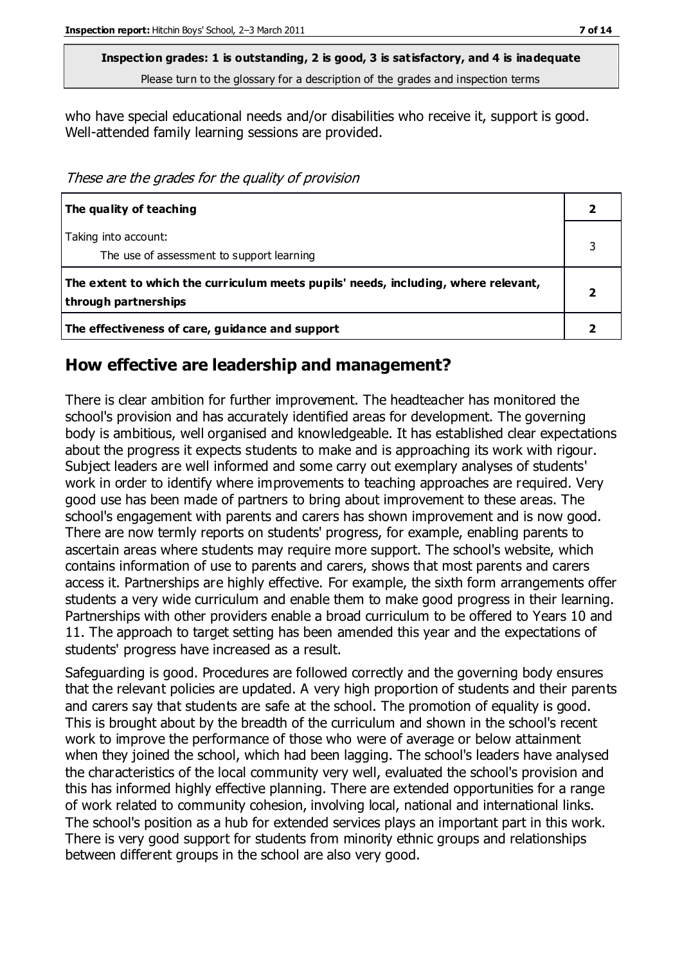**Inspection grades: 1 is outstanding, 2 is good, 3 is satisfactory, and 4 is inadequate** Please turn to the glossary for a description of the grades and inspection terms

who have special educational needs and/or disabilities who receive it, support is good. Well-attended family learning sessions are provided.

These are the grades for the quality of provision

| The quality of teaching                                                                                    |  |
|------------------------------------------------------------------------------------------------------------|--|
| Taking into account:<br>The use of assessment to support learning                                          |  |
| The extent to which the curriculum meets pupils' needs, including, where relevant,<br>through partnerships |  |
| The effectiveness of care, guidance and support                                                            |  |

#### **How effective are leadership and management?**

There is clear ambition for further improvement. The headteacher has monitored the school's provision and has accurately identified areas for development. The governing body is ambitious, well organised and knowledgeable. It has established clear expectations about the progress it expects students to make and is approaching its work with rigour. Subject leaders are well informed and some carry out exemplary analyses of students' work in order to identify where improvements to teaching approaches are required. Very good use has been made of partners to bring about improvement to these areas. The school's engagement with parents and carers has shown improvement and is now good. There are now termly reports on students' progress, for example, enabling parents to ascertain areas where students may require more support. The school's website, which contains information of use to parents and carers, shows that most parents and carers access it. Partnerships are highly effective. For example, the sixth form arrangements offer students a very wide curriculum and enable them to make good progress in their learning. Partnerships with other providers enable a broad curriculum to be offered to Years 10 and 11. The approach to target setting has been amended this year and the expectations of students' progress have increased as a result.

Safeguarding is good. Procedures are followed correctly and the governing body ensures that the relevant policies are updated. A very high proportion of students and their parents and carers say that students are safe at the school. The promotion of equality is good. This is brought about by the breadth of the curriculum and shown in the school's recent work to improve the performance of those who were of average or below attainment when they joined the school, which had been lagging. The school's leaders have analysed the characteristics of the local community very well, evaluated the school's provision and this has informed highly effective planning. There are extended opportunities for a range of work related to community cohesion, involving local, national and international links. The school's position as a hub for extended services plays an important part in this work. There is very good support for students from minority ethnic groups and relationships between different groups in the school are also very good.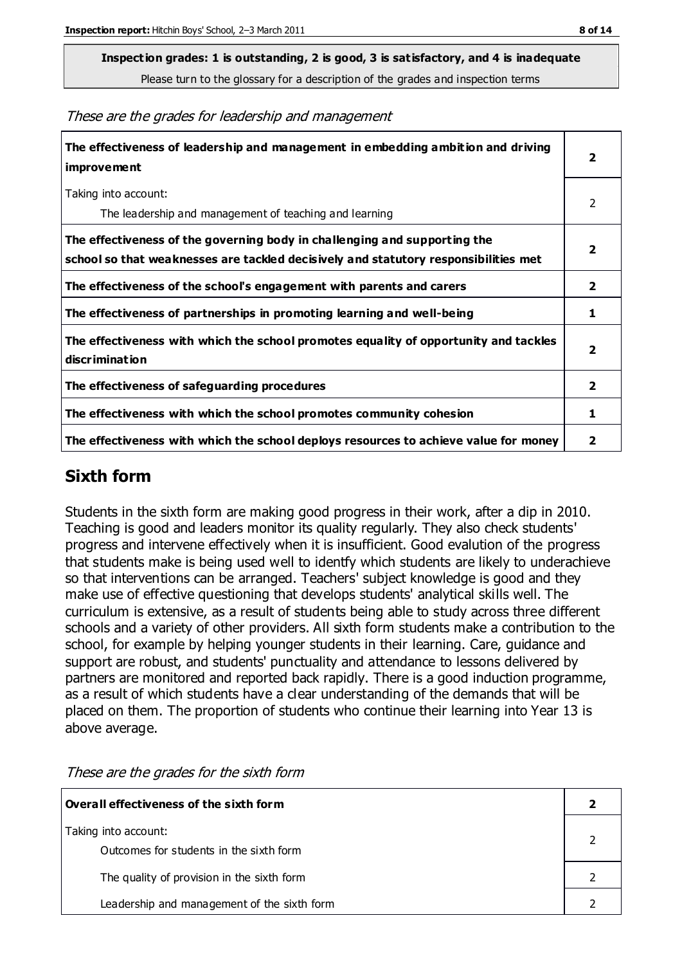**Inspection grades: 1 is outstanding, 2 is good, 3 is satisfactory, and 4 is inadequate**

Please turn to the glossary for a description of the grades and inspection terms

These are the grades for leadership and management

| The effectiveness of leadership and management in embedding ambition and driving<br><b>improvement</b>                                                           | 2                       |
|------------------------------------------------------------------------------------------------------------------------------------------------------------------|-------------------------|
| Taking into account:<br>The leadership and management of teaching and learning                                                                                   | 2                       |
| The effectiveness of the governing body in challenging and supporting the<br>school so that weaknesses are tackled decisively and statutory responsibilities met | $\overline{2}$          |
| The effectiveness of the school's engagement with parents and carers                                                                                             | $\overline{\mathbf{2}}$ |
| The effectiveness of partnerships in promoting learning and well-being                                                                                           | 1                       |
| The effectiveness with which the school promotes equality of opportunity and tackles<br>discrimination                                                           | $\overline{2}$          |
| The effectiveness of safeguarding procedures                                                                                                                     | $\mathbf{2}$            |
| The effectiveness with which the school promotes community cohesion                                                                                              | 1                       |
| The effectiveness with which the school deploys resources to achieve value for money                                                                             | 2                       |

### **Sixth form**

Students in the sixth form are making good progress in their work, after a dip in 2010. Teaching is good and leaders monitor its quality regularly. They also check students' progress and intervene effectively when it is insufficient. Good evalution of the progress that students make is being used well to identfy which students are likely to underachieve so that interventions can be arranged. Teachers' subject knowledge is good and they make use of effective questioning that develops students' analytical skills well. The curriculum is extensive, as a result of students being able to study across three different schools and a variety of other providers. All sixth form students make a contribution to the school, for example by helping younger students in their learning. Care, guidance and support are robust, and students' punctuality and attendance to lessons delivered by partners are monitored and reported back rapidly. There is a good induction programme, as a result of which students have a clear understanding of the demands that will be placed on them. The proportion of students who continue their learning into Year 13 is above average.

**Overall effectiveness of the sixth form 2** Taking into account: Outcomes for students in the sixth form 2 The quality of provision in the sixth form 2 and 2 and 2 and 2 and 2 and 2 and 2 and 2 and 2 and 2 and 2 and 2 and 2 and 2 and 2 and 2 and 2 and 2 and 2 and 2 and 2 and 2 and 2 and 2 and 2 and 2 and 2 and 2 and 2 and 2 and Leadership and management of the sixth form **2** and 2 and 2 and 2 and 2 and 2 and 2 and 2 and 2 and 2 and 2 and 2 and 2 and 2 and 2 and 2 and 2 and 2 and 2 and 2 and 2 and 2 and 2 and 2 and 2 and 2 and 2 and 2 and 2 and 2

These are the grades for the sixth form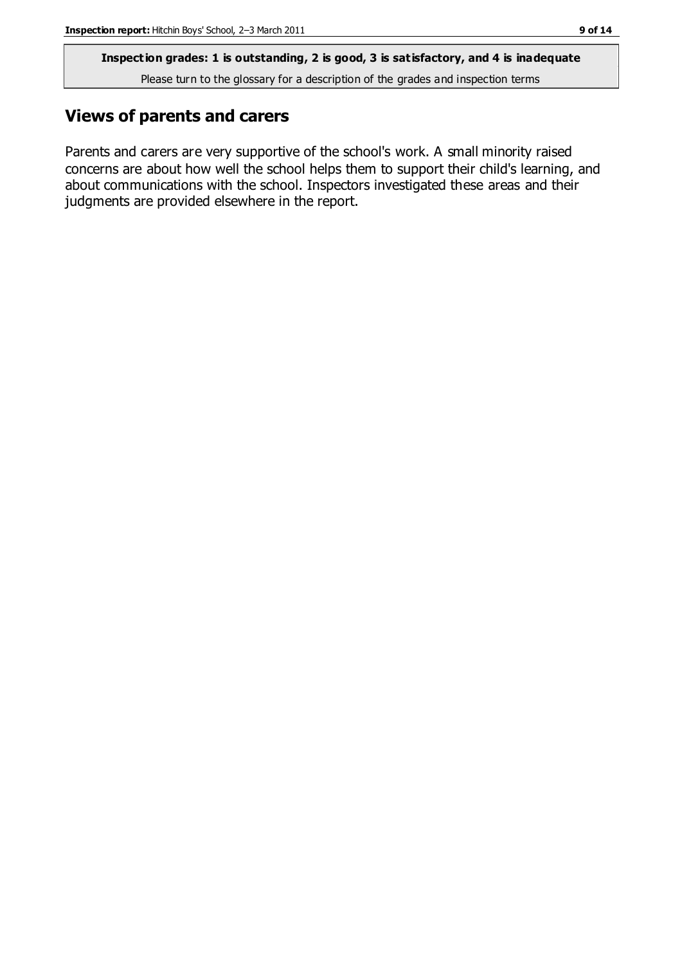**Inspection grades: 1 is outstanding, 2 is good, 3 is satisfactory, and 4 is inadequate**

Please turn to the glossary for a description of the grades and inspection terms

# **Views of parents and carers**

Parents and carers are very supportive of the school's work. A small minority raised concerns are about how well the school helps them to support their child's learning, and about communications with the school. Inspectors investigated these areas and their judgments are provided elsewhere in the report.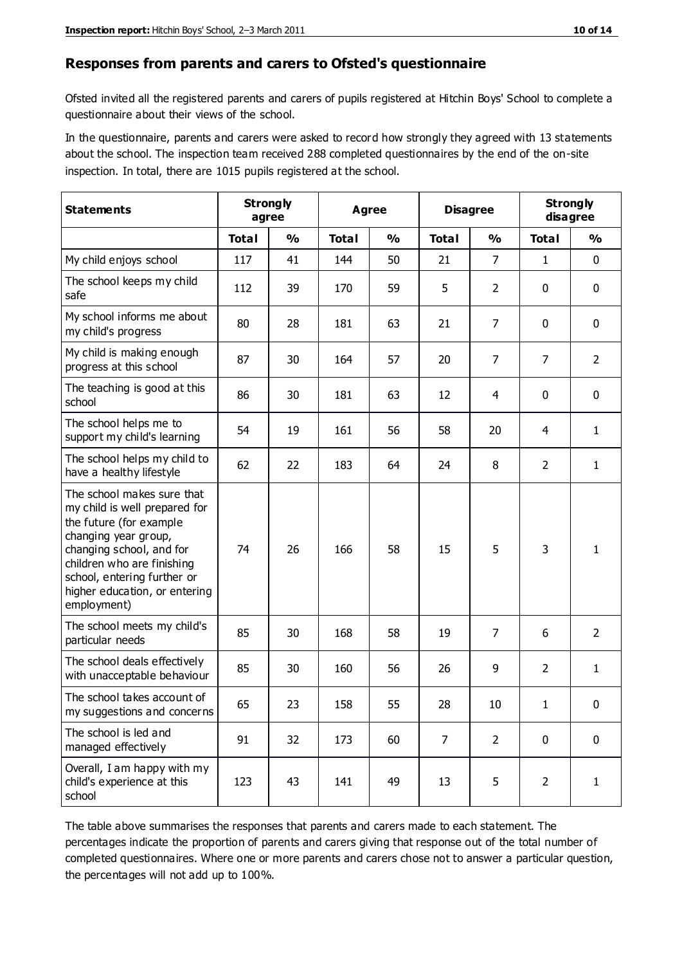#### **Responses from parents and carers to Ofsted's questionnaire**

Ofsted invited all the registered parents and carers of pupils registered at Hitchin Boys' School to complete a questionnaire about their views of the school.

In the questionnaire, parents and carers were asked to record how strongly they agreed with 13 statements about the school. The inspection team received 288 completed questionnaires by the end of the on-site inspection. In total, there are 1015 pupils registered at the school.

| <b>Statements</b>                                                                                                                                                                                                                                       | <b>Strongly</b><br>Agree<br>agree |               |              | <b>Disagree</b> |                | <b>Strongly</b><br>disagree |                |                |
|---------------------------------------------------------------------------------------------------------------------------------------------------------------------------------------------------------------------------------------------------------|-----------------------------------|---------------|--------------|-----------------|----------------|-----------------------------|----------------|----------------|
|                                                                                                                                                                                                                                                         | <b>Total</b>                      | $\frac{0}{0}$ | <b>Total</b> | $\frac{0}{0}$   | <b>Total</b>   | $\frac{1}{2}$               | <b>Total</b>   | $\frac{0}{0}$  |
| My child enjoys school                                                                                                                                                                                                                                  | 117                               | 41            | 144          | 50              | 21             | 7                           | 1              | $\mathbf 0$    |
| The school keeps my child<br>safe                                                                                                                                                                                                                       | 112                               | 39            | 170          | 59              | 5              | $\overline{2}$              | 0              | $\pmb{0}$      |
| My school informs me about<br>my child's progress                                                                                                                                                                                                       | 80                                | 28            | 181          | 63              | 21             | 7                           | $\mathbf{0}$   | $\mathbf 0$    |
| My child is making enough<br>progress at this school                                                                                                                                                                                                    | 87                                | 30            | 164          | 57              | 20             | $\overline{7}$              | 7              | $\overline{2}$ |
| The teaching is good at this<br>school                                                                                                                                                                                                                  | 86                                | 30            | 181          | 63              | 12             | 4                           | 0              | $\mathbf 0$    |
| The school helps me to<br>support my child's learning                                                                                                                                                                                                   | 54                                | 19            | 161          | 56              | 58             | 20                          | 4              | $\mathbf{1}$   |
| The school helps my child to<br>have a healthy lifestyle                                                                                                                                                                                                | 62                                | 22            | 183          | 64              | 24             | 8                           | $\overline{2}$ | $\mathbf{1}$   |
| The school makes sure that<br>my child is well prepared for<br>the future (for example<br>changing year group,<br>changing school, and for<br>children who are finishing<br>school, entering further or<br>higher education, or entering<br>employment) | 74                                | 26            | 166          | 58              | 15             | 5                           | 3              | 1              |
| The school meets my child's<br>particular needs                                                                                                                                                                                                         | 85                                | 30            | 168          | 58              | 19             | 7                           | 6              | $\overline{2}$ |
| The school deals effectively<br>with unacceptable behaviour                                                                                                                                                                                             | 85                                | 30            | 160          | 56              | 26             | 9                           | $\overline{2}$ | $\mathbf{1}$   |
| The school takes account of<br>my suggestions and concerns                                                                                                                                                                                              | 65                                | 23            | 158          | 55              | 28             | $10\,$                      | 1              | 0              |
| The school is led and<br>managed effectively                                                                                                                                                                                                            | 91                                | 32            | 173          | 60              | $\overline{7}$ | $\overline{2}$              | $\mathbf 0$    | $\mathbf 0$    |
| Overall, I am happy with my<br>child's experience at this<br>school                                                                                                                                                                                     | 123                               | 43            | 141          | 49              | 13             | 5                           | $\overline{2}$ | $\mathbf{1}$   |

The table above summarises the responses that parents and carers made to each statement. The percentages indicate the proportion of parents and carers giving that response out of the total number of completed questionnaires. Where one or more parents and carers chose not to answer a particular question, the percentages will not add up to 100%.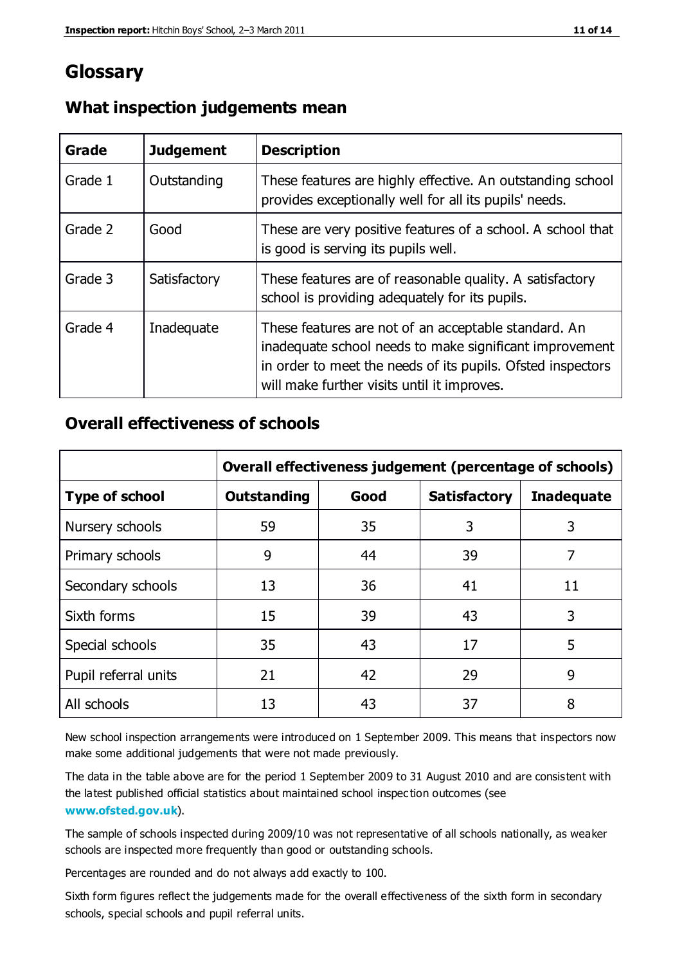# **Glossary**

| Grade   | <b>Judgement</b> | <b>Description</b>                                                                                                                                                                                                            |
|---------|------------------|-------------------------------------------------------------------------------------------------------------------------------------------------------------------------------------------------------------------------------|
| Grade 1 | Outstanding      | These features are highly effective. An outstanding school<br>provides exceptionally well for all its pupils' needs.                                                                                                          |
| Grade 2 | Good             | These are very positive features of a school. A school that<br>is good is serving its pupils well.                                                                                                                            |
| Grade 3 | Satisfactory     | These features are of reasonable quality. A satisfactory<br>school is providing adequately for its pupils.                                                                                                                    |
| Grade 4 | Inadequate       | These features are not of an acceptable standard. An<br>inadequate school needs to make significant improvement<br>in order to meet the needs of its pupils. Ofsted inspectors<br>will make further visits until it improves. |

### **What inspection judgements mean**

### **Overall effectiveness of schools**

|                       | Overall effectiveness judgement (percentage of schools) |      |                     |                   |
|-----------------------|---------------------------------------------------------|------|---------------------|-------------------|
| <b>Type of school</b> | <b>Outstanding</b>                                      | Good | <b>Satisfactory</b> | <b>Inadequate</b> |
| Nursery schools       | 59                                                      | 35   | 3                   | 3                 |
| Primary schools       | 9                                                       | 44   | 39                  | 7                 |
| Secondary schools     | 13                                                      | 36   | 41                  | 11                |
| Sixth forms           | 15                                                      | 39   | 43                  | 3                 |
| Special schools       | 35                                                      | 43   | 17                  | 5                 |
| Pupil referral units  | 21                                                      | 42   | 29                  | 9                 |
| All schools           | 13                                                      | 43   | 37                  | 8                 |

New school inspection arrangements were introduced on 1 September 2009. This means that inspectors now make some additional judgements that were not made previously.

The data in the table above are for the period 1 September 2009 to 31 August 2010 and are consistent with the latest published official statistics about maintained school inspec tion outcomes (see **[www.ofsted.gov.uk](http://www.ofsted.gov.uk/)**).

The sample of schools inspected during 2009/10 was not representative of all schools nationally, as weaker schools are inspected more frequently than good or outstanding schools.

Percentages are rounded and do not always add exactly to 100.

Sixth form figures reflect the judgements made for the overall effectiveness of the sixth form in secondary schools, special schools and pupil referral units.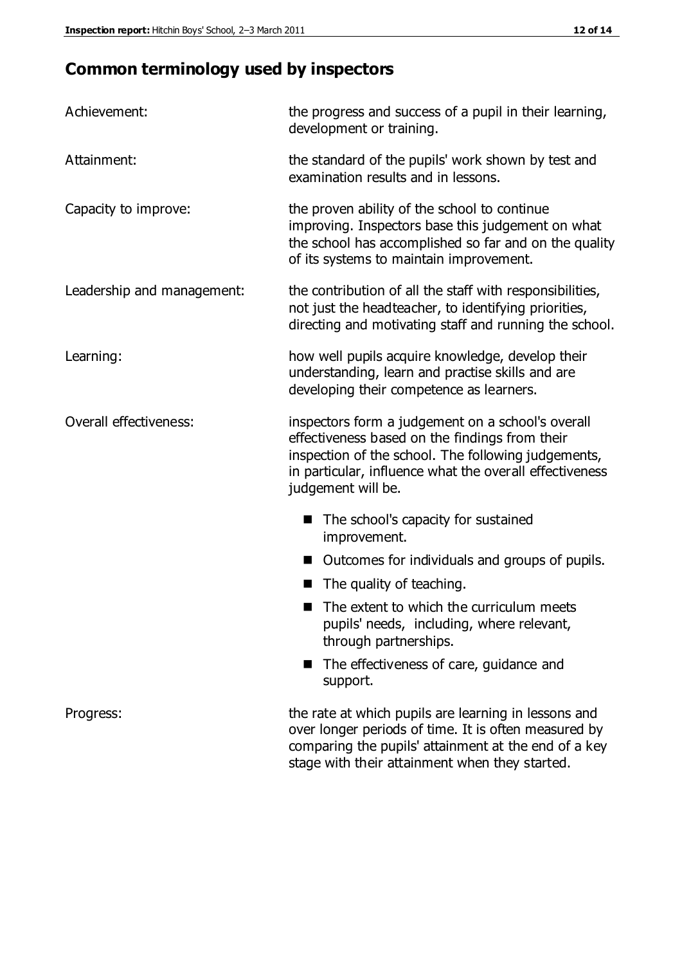# **Common terminology used by inspectors**

| Achievement:               | the progress and success of a pupil in their learning,<br>development or training.                                                                                                                                                          |  |  |
|----------------------------|---------------------------------------------------------------------------------------------------------------------------------------------------------------------------------------------------------------------------------------------|--|--|
| Attainment:                | the standard of the pupils' work shown by test and<br>examination results and in lessons.                                                                                                                                                   |  |  |
| Capacity to improve:       | the proven ability of the school to continue<br>improving. Inspectors base this judgement on what<br>the school has accomplished so far and on the quality<br>of its systems to maintain improvement.                                       |  |  |
| Leadership and management: | the contribution of all the staff with responsibilities,<br>not just the headteacher, to identifying priorities,<br>directing and motivating staff and running the school.                                                                  |  |  |
| Learning:                  | how well pupils acquire knowledge, develop their<br>understanding, learn and practise skills and are<br>developing their competence as learners.                                                                                            |  |  |
| Overall effectiveness:     | inspectors form a judgement on a school's overall<br>effectiveness based on the findings from their<br>inspection of the school. The following judgements,<br>in particular, influence what the overall effectiveness<br>judgement will be. |  |  |
|                            | The school's capacity for sustained<br>improvement.                                                                                                                                                                                         |  |  |
|                            | Outcomes for individuals and groups of pupils.                                                                                                                                                                                              |  |  |
|                            | The quality of teaching.                                                                                                                                                                                                                    |  |  |
|                            | The extent to which the curriculum meets<br>pupils' needs, including, where relevant,<br>through partnerships.                                                                                                                              |  |  |
|                            | The effectiveness of care, guidance and<br>support.                                                                                                                                                                                         |  |  |
| Progress:                  | the rate at which pupils are learning in lessons and<br>over longer periods of time. It is often measured by<br>comparing the pupils' attainment at the end of a key                                                                        |  |  |

stage with their attainment when they started.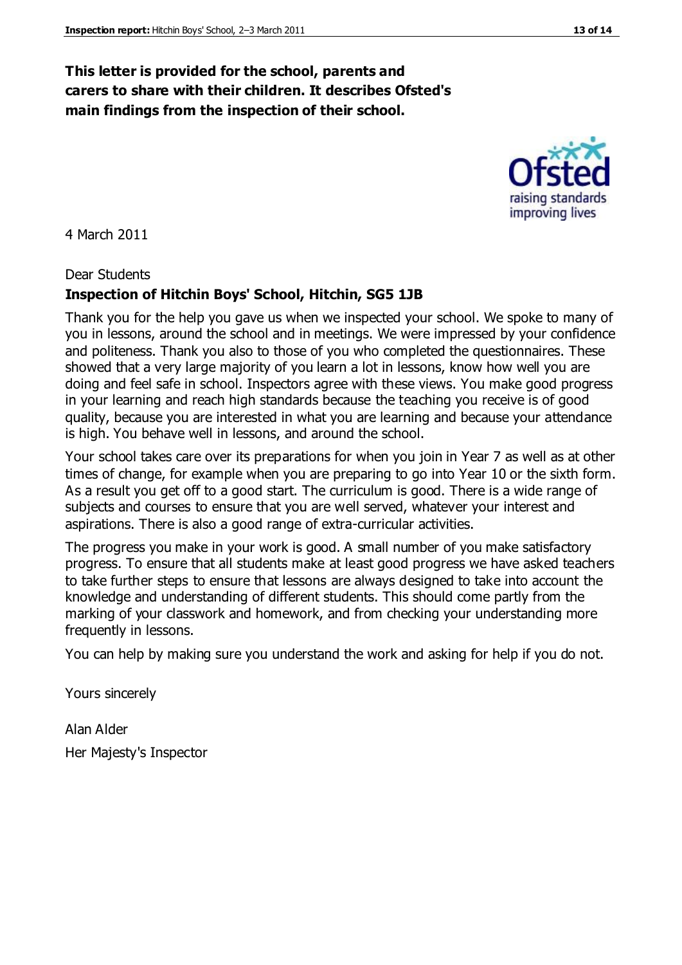# **This letter is provided for the school, parents and carers to share with their children. It describes Ofsted's main findings from the inspection of their school.**

4 March 2011

Dear Students

# **Inspection of Hitchin Boys' School, Hitchin, SG5 1JB**

Thank you for the help you gave us when we inspected your school. We spoke to many of you in lessons, around the school and in meetings. We were impressed by your confidence and politeness. Thank you also to those of you who completed the questionnaires. These showed that a very large majority of you learn a lot in lessons, know how well you are doing and feel safe in school. Inspectors agree with these views. You make good progress in your learning and reach high standards because the teaching you receive is of good quality, because you are interested in what you are learning and because your attendance is high. You behave well in lessons, and around the school.

Your school takes care over its preparations for when you join in Year 7 as well as at other times of change, for example when you are preparing to go into Year 10 or the sixth form. As a result you get off to a good start. The curriculum is good. There is a wide range of subjects and courses to ensure that you are well served, whatever your interest and aspirations. There is also a good range of extra-curricular activities.

The progress you make in your work is good. A small number of you make satisfactory progress. To ensure that all students make at least good progress we have asked teachers to take further steps to ensure that lessons are always designed to take into account the knowledge and understanding of different students. This should come partly from the marking of your classwork and homework, and from checking your understanding more frequently in lessons.

You can help by making sure you understand the work and asking for help if you do not.

Yours sincerely

Alan Alder Her Majesty's Inspector